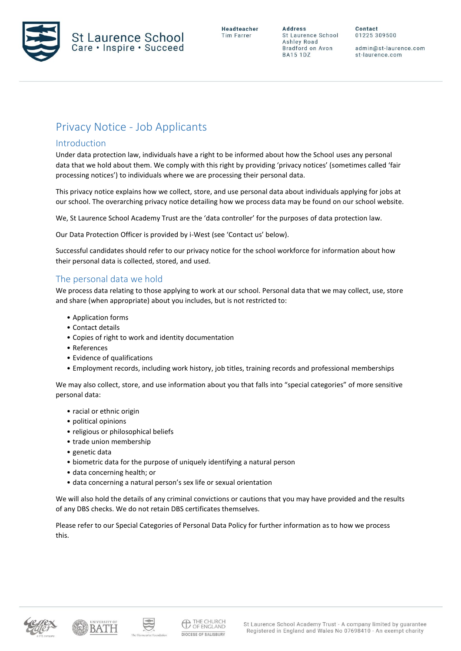

**Address** St Laurence School Ashley Road Bradford on Avon **BA15 1DZ** 

Contact 01225 309500

admin@st-laurence.com st-laurence.com

# Privacy Notice - Job Applicants

#### Introduction

Under data protection law, individuals have a right to be informed about how the School uses any personal data that we hold about them. We comply with this right by providing 'privacy notices' (sometimes called 'fair processing notices') to individuals where we are processing their personal data.

This privacy notice explains how we collect, store, and use personal data about individuals applying for jobs at our school. The overarching privacy notice detailing how we process data may be found on our school website.

We, St Laurence School Academy Trust are the 'data controller' for the purposes of data protection law.

Our Data Protection Officer is provided by i-West (see 'Contact us' below).

Successful candidates should refer to our privacy notice for the school workforce for information about how their personal data is collected, stored, and used.

## The personal data we hold

We process data relating to those applying to work at our school. Personal data that we may collect, use, store and share (when appropriate) about you includes, but is not restricted to:

- Application forms
- Contact details
- Copies of right to work and identity documentation
- References
- Evidence of qualifications
- Employment records, including work history, job titles, training records and professional memberships

We may also collect, store, and use information about you that falls into "special categories" of more sensitive personal data:

- racial or ethnic origin
- political opinions
- religious or philosophical beliefs
- trade union membership
- genetic data
- biometric data for the purpose of uniquely identifying a natural person
- data concerning health; or
- data concerning a natural person's sex life or sexual orientation

We will also hold the details of any criminal convictions or cautions that you may have provided and the results of any DBS checks. We do not retain DBS certificates themselves.

Please refer to our Special Categories of Personal Data Policy for further information as to how we process this.





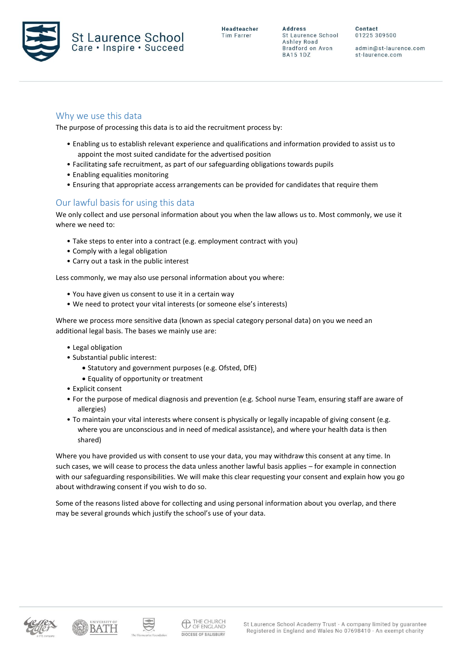

Contact 01225 309500

admin@st-laurence.com st-laurence.com

## Why we use this data

The purpose of processing this data is to aid the recruitment process by:

- Enabling us to establish relevant experience and qualifications and information provided to assist us to appoint the most suited candidate for the advertised position
- Facilitating safe recruitment, as part of our safeguarding obligations towards pupils
- Enabling equalities monitoring
- Ensuring that appropriate access arrangements can be provided for candidates that require them

## Our lawful basis for using this data

We only collect and use personal information about you when the law allows us to. Most commonly, we use it where we need to:

- Take steps to enter into a contract (e.g. employment contract with you)
- Comply with a legal obligation
- Carry out a task in the public interest

Less commonly, we may also use personal information about you where:

- You have given us consent to use it in a certain way
- We need to protect your vital interests (or someone else's interests)

Where we process more sensitive data (known as special category personal data) on you we need an additional legal basis. The bases we mainly use are:

- Legal obligation
- Substantial public interest:
	- Statutory and government purposes (e.g. Ofsted, DfE)
	- Equality of opportunity or treatment
- Explicit consent
- For the purpose of medical diagnosis and prevention (e.g. School nurse Team, ensuring staff are aware of allergies)
- To maintain your vital interests where consent is physically or legally incapable of giving consent (e.g. where you are unconscious and in need of medical assistance), and where your health data is then shared)

Where you have provided us with consent to use your data, you may withdraw this consent at any time. In such cases, we will cease to process the data unless another lawful basis applies – for example in connection with our safeguarding responsibilities. We will make this clear requesting your consent and explain how you go about withdrawing consent if you wish to do so.

Some of the reasons listed above for collecting and using personal information about you overlap, and there may be several grounds which justify the school's use of your data.





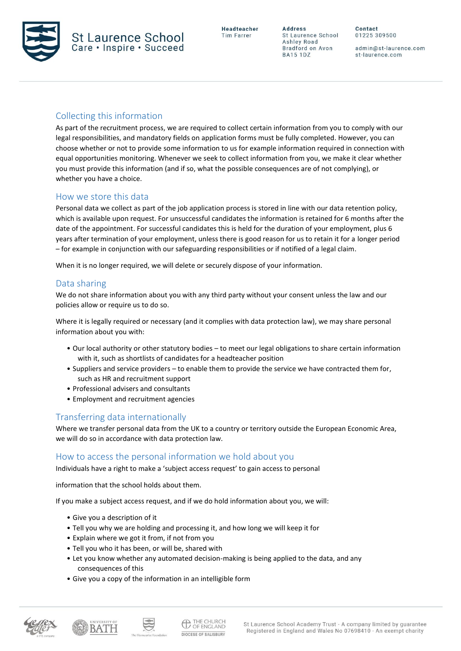

**Address** St Laurence School Ashley Road Bradford on Avon **BA15 1DZ** 

Contact 01225 309500

admin@st-laurence.com st-laurence.com

# Collecting this information

As part of the recruitment process, we are required to collect certain information from you to comply with our legal responsibilities, and mandatory fields on application forms must be fully completed. However, you can choose whether or not to provide some information to us for example information required in connection with equal opportunities monitoring. Whenever we seek to collect information from you, we make it clear whether you must provide this information (and if so, what the possible consequences are of not complying), or whether you have a choice.

#### How we store this data

Personal data we collect as part of the job application process is stored in line with our data retention policy, which is available upon request. For unsuccessful candidates the information is retained for 6 months after the date of the appointment. For successful candidates this is held for the duration of your employment, plus 6 years after termination of your employment, unless there is good reason for us to retain it for a longer period – for example in conjunction with our safeguarding responsibilities or if notified of a legal claim.

When it is no longer required, we will delete or securely dispose of your information.

## Data sharing

We do not share information about you with any third party without your consent unless the law and our policies allow or require us to do so.

Where it is legally required or necessary (and it complies with data protection law), we may share personal information about you with:

- Our local authority or other statutory bodies to meet our legal obligations to share certain information with it, such as shortlists of candidates for a headteacher position
- Suppliers and service providers to enable them to provide the service we have contracted them for, such as HR and recruitment support
- Professional advisers and consultants
- Employment and recruitment agencies

## Transferring data internationally

Where we transfer personal data from the UK to a country or territory outside the European Economic Area, we will do so in accordance with data protection law.

#### How to access the personal information we hold about you

Individuals have a right to make a 'subject access request' to gain access to personal

information that the school holds about them.

If you make a subject access request, and if we do hold information about you, we will:

- Give you a description of it
- Tell you why we are holding and processing it, and how long we will keep it for
- Explain where we got it from, if not from you
- Tell you who it has been, or will be, shared with
- Let you know whether any automated decision-making is being applied to the data, and any consequences of this
- Give you a copy of the information in an intelligible form